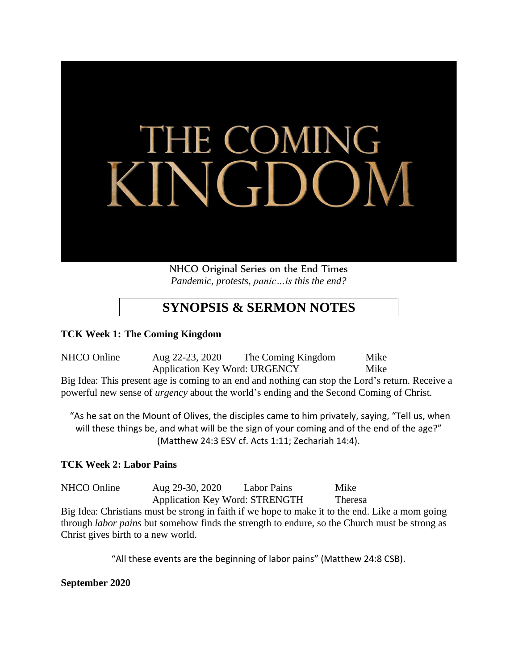

NHCO Original Series on the End Times *Pandemic, protests, panic…is this the end?*

## **SYNOPSIS & SERMON NOTES**

## **TCK Week 1: The Coming Kingdom**

NHCO Online Aug 22-23, 2020 The Coming Kingdom Mike Application Key Word: URGENCY Mike Big Idea: This present age is coming to an end and nothing can stop the Lord's return. Receive a powerful new sense of *urgency* about the world's ending and the Second Coming of Christ.

"As he sat on the Mount of Olives, the disciples came to him privately, saying, "Tell us, when will these things be, and what will be the sign of your coming and of the end of the age?" (Matthew 24:3 ESV cf. Acts 1:11; Zechariah 14:4).

## **TCK Week 2: Labor Pains**

NHCO Online Aug 29-30, 2020 Labor Pains Mike Application Key Word: STRENGTH Theresa

Big Idea: Christians must be strong in faith if we hope to make it to the end. Like a mom going through *labor pains* but somehow finds the strength to endure, so the Church must be strong as Christ gives birth to a new world.

"All these events are the beginning of labor pains" (Matthew 24:8 CSB).

**September 2020**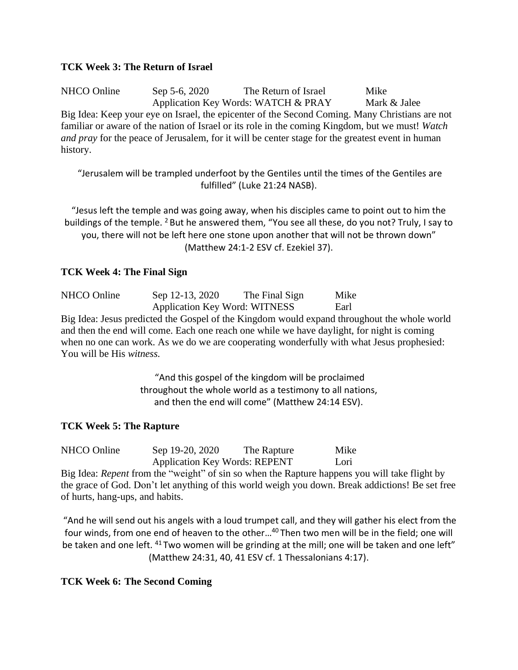### **TCK Week 3: The Return of Israel**

NHCO Online Sep 5-6, 2020 The Return of Israel Mike Application Key Words: WATCH & PRAY Mark & Jalee Big Idea: Keep your eye on Israel, the epicenter of the Second Coming. Many Christians are not familiar or aware of the nation of Israel or its role in the coming Kingdom, but we must! *Watch and pray* for the peace of Jerusalem, for it will be center stage for the greatest event in human history.

"Jerusalem will be trampled underfoot by the Gentiles until the times of the Gentiles are fulfilled" (Luke 21:24 NASB).

"Jesus left the temple and was going away, when his disciples came to point out to him the buildings of the temple. <sup>2</sup> But he answered them, "You see all these, do you not? Truly, I say to you, there will not be left here one stone upon another that will not be thrown down" (Matthew 24:1-2 ESV cf. Ezekiel 37).

## **TCK Week 4: The Final Sign**

NHCO Online Sep 12-13, 2020 The Final Sign Mike Application Key Word: WITNESS Earl Big Idea: Jesus predicted the Gospel of the Kingdom would expand throughout the whole world and then the end will come. Each one reach one while we have daylight, for night is coming when no one can work. As we do we are cooperating wonderfully with what Jesus prophesied: You will be His *witness.*

> "And this gospel of the kingdom will be proclaimed throughout the whole world as a testimony to all nations, and then the end will come" (Matthew 24:14 ESV).

## **TCK Week 5: The Rapture**

NHCO Online Sep 19-20, 2020 The Rapture Mike Application Key Words: REPENT Lori

Big Idea: *Repent* from the "weight" of sin so when the Rapture happens you will take flight by the grace of God. Don't let anything of this world weigh you down. Break addictions! Be set free of hurts, hang-ups, and habits.

"And he will send out his angels with a loud trumpet call, and they will gather his elect from the four winds, from one end of heaven to the other...<sup>40</sup> Then two men will be in the field; one will be taken and one left. <sup>41</sup> Two women will be grinding at the mill; one will be taken and one left" (Matthew 24:31, 40, 41 ESV cf. 1 Thessalonians 4:17).

## **TCK Week 6: The Second Coming**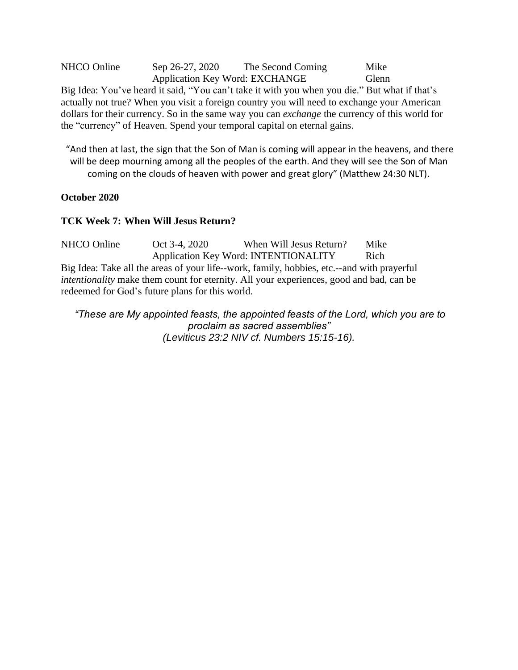NHCO Online Sep 26-27, 2020 The Second Coming Mike Application Key Word: EXCHANGE Glenn Big Idea: You've heard it said, "You can't take it with you when you die." But what if that's actually not true? When you visit a foreign country you will need to exchange your American dollars for their currency. So in the same way you can *exchange* the currency of this world for the "currency" of Heaven. Spend your temporal capital on eternal gains.

"And then at last, the sign that the Son of Man is coming will appear in the heavens, and there will be deep mourning among all the peoples of the earth. And they will see the Son of Man coming on the clouds of heaven with power and great glory" (Matthew 24:30 NLT).

#### **October 2020**

#### **TCK Week 7: When Will Jesus Return?**

NHCO Online Oct 3-4, 2020 When Will Jesus Return? Mike Application Key Word: INTENTIONALITY Rich Big Idea: Take all the areas of your life--work, family, hobbies, etc.--and with prayerful *intentionality* make them count for eternity. All your experiences, good and bad, can be redeemed for God's future plans for this world.

*"These are My appointed feasts, the appointed feasts of the Lord, which you are to proclaim as sacred assemblies" (Leviticus 23:2 NIV cf. Numbers 15:15-16).*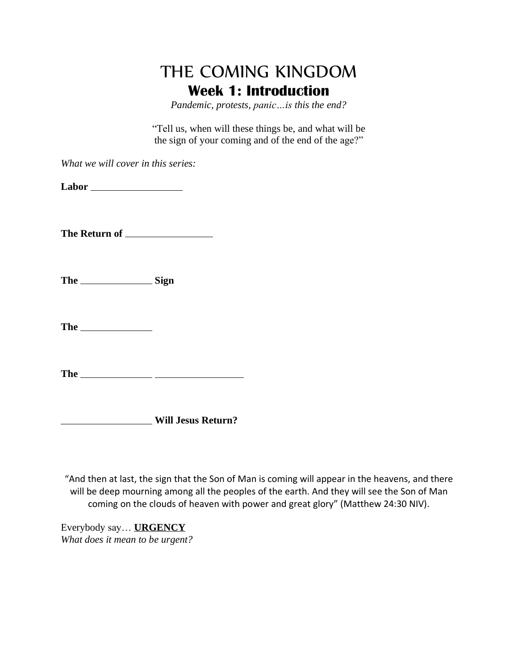## THE COMING KINGDOM **Week 1: Introduction**

*Pandemic, protests, panic…is this the end?*

"Tell us, when will these things be, and what will be the sign of your coming and of the end of the age?"

*What we will cover in this series:*

**Labor**

**The Return of**

The Sign

The <u>second</u>

**The**

**Will Jesus Return?**

"And then at last, the sign that the Son of Man is coming will appear in the heavens, and there will be deep mourning among all the peoples of the earth. And they will see the Son of Man coming on the clouds of heaven with power and great glory" (Matthew 24:30 NIV).

Everybody say… **URGENCY** *What does it mean to be urgent?*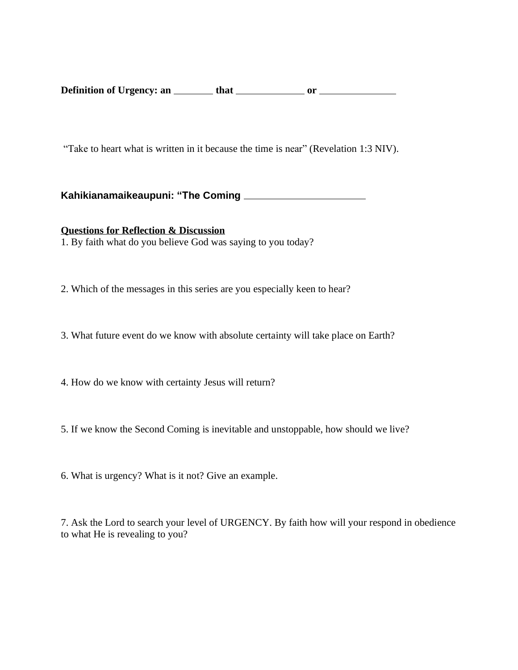**Definition of Urgency: an that or**

"Take to heart what is written in it because the time is near" (Revelation 1:3 NIV).

**Kahikianamaikeaupuni: "The Coming**

**Questions for Reflection & Discussion** 1. By faith what do you believe God was saying to you today?

2. Which of the messages in this series are you especially keen to hear?

3. What future event do we know with absolute certainty will take place on Earth?

4. How do we know with certainty Jesus will return?

5. If we know the Second Coming is inevitable and unstoppable, how should we live?

6. What is urgency? What is it not? Give an example.

7. Ask the Lord to search your level of URGENCY. By faith how will your respond in obedience to what He is revealing to you?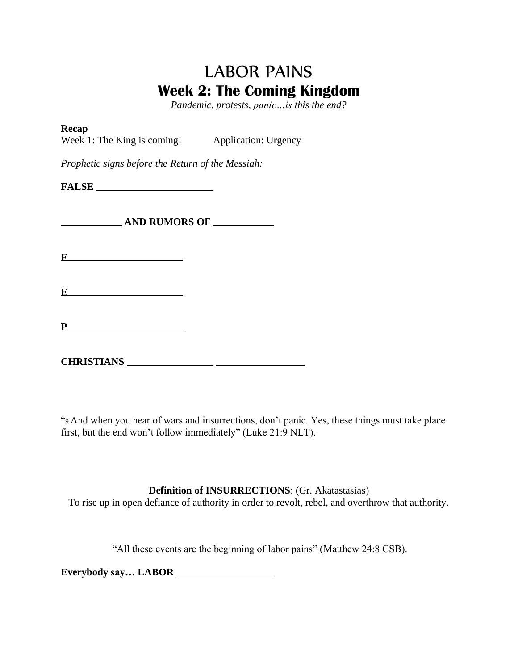# LABOR PAINS **Week 2: The Coming Kingdom**

*Pandemic, protests, panic…is this the end?*

#### **Recap**

Week 1: The King is coming! Application: Urgency

*Prophetic signs before the Return of the Messiah:*

**FALSE**

**AND RUMORS OF**

**F**

**E** 

**P**

**CHRISTIANS**

"9 And when you hear of wars and insurrections, don't panic. Yes, these things must take place first, but the end won't follow immediately" (Luke 21:9 NLT).

**Definition of INSURRECTIONS**: (Gr. Akatastasias)

To rise up in open defiance of authority in order to revolt, rebel, and overthrow that authority.

"All these events are the beginning of labor pains" (Matthew 24:8 CSB).

**Everybody say… LABOR**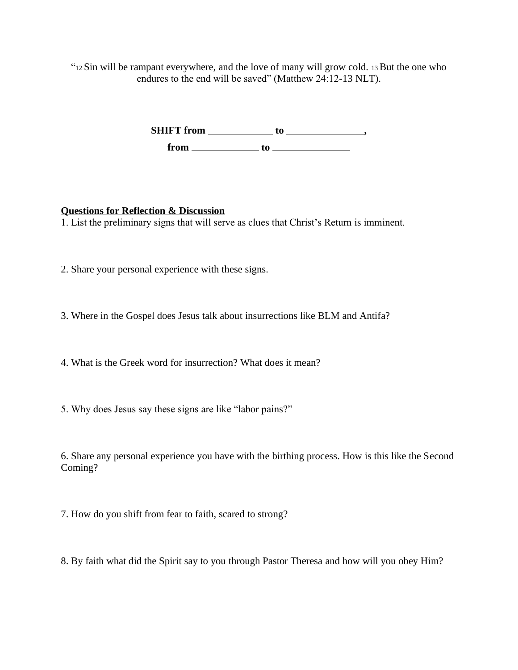"<sup>12</sup> Sin will be rampant everywhere, and the love of many will grow cold. 13But the one who endures to the end will be saved" (Matthew 24:12-13 NLT).

> **SHIFT from to , from to**

### **Questions for Reflection & Discussion**

1. List the preliminary signs that will serve as clues that Christ's Return is imminent.

2. Share your personal experience with these signs.

3. Where in the Gospel does Jesus talk about insurrections like BLM and Antifa?

4. What is the Greek word for insurrection? What does it mean?

5. Why does Jesus say these signs are like "labor pains?"

6. Share any personal experience you have with the birthing process. How is this like the Second Coming?

7. How do you shift from fear to faith, scared to strong?

8. By faith what did the Spirit say to you through Pastor Theresa and how will you obey Him?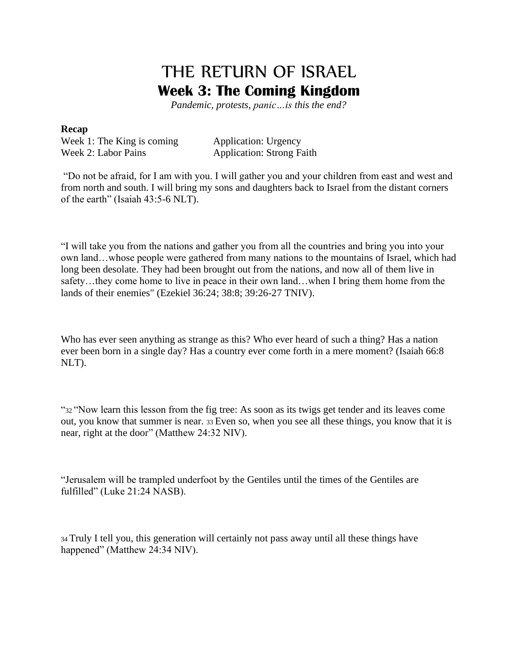# THE RETURN OF ISRAEL **Week 3: The Coming Kingdom**

*Pandemic, protests, panic…is this the end?*

#### **Recap**

Week 1: The King is coming Application: Urgency Week 2: Labor Pains Application: Strong Faith

"Do not be afraid, for I am with you. I will gather you and your children from east and west and from north and south. I will bring my sons and daughters back to Israel from the distant corners of the earth" (Isaiah 43:5-6 NLT).

"I will take you from the nations and gather you from all the countries and bring you into your own land…whose people were gathered from many nations to the mountains of Israel, which had long been desolate. They had been brought out from the nations, and now all of them live in safety…they come home to live in peace in their own land…when I bring them home from the lands of their enemies" (Ezekiel 36:24; 38:8; 39:26-27 TNIV).

Who has ever seen anything as strange as this? Who ever heard of such a thing? Has a nation ever been born in a single day? Has a country ever come forth in a mere moment? (Isaiah 66:8 NLT).

"<sup>32</sup> "Now learn this lesson from the fig tree: As soon as its twigs get tender and its leaves come out, you know that summer is near. <sup>33</sup> Even so, when you see all these things, you know that it is near, right at the door" (Matthew 24:32 NIV).

"Jerusalem will be trampled underfoot by the Gentiles until the times of the Gentiles are fulfilled" (Luke 21:24 NASB).

<sup>34</sup> Truly I tell you, this generation will certainly not pass away until all these things have happened" (Matthew 24:34 NIV).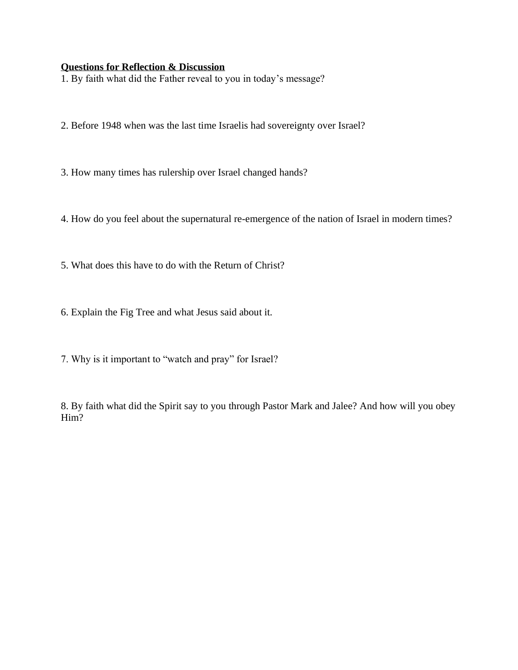#### **Questions for Reflection & Discussion**

1. By faith what did the Father reveal to you in today's message?

2. Before 1948 when was the last time Israelis had sovereignty over Israel?

3. How many times has rulership over Israel changed hands?

4. How do you feel about the supernatural re-emergence of the nation of Israel in modern times?

5. What does this have to do with the Return of Christ?

6. Explain the Fig Tree and what Jesus said about it.

7. Why is it important to "watch and pray" for Israel?

8. By faith what did the Spirit say to you through Pastor Mark and Jalee? And how will you obey Him?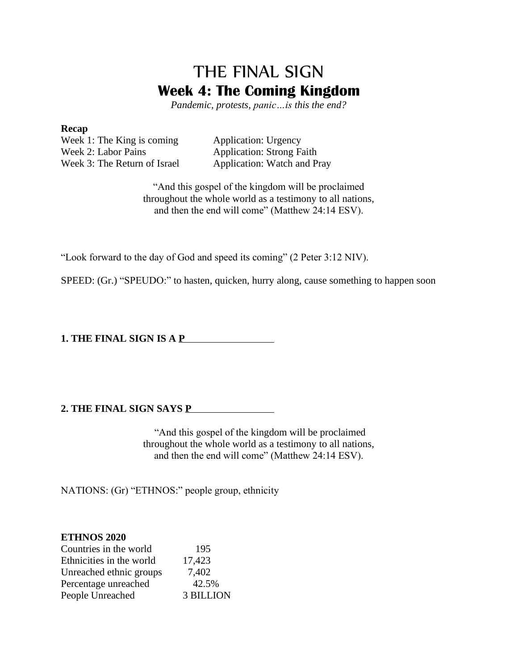## THE FINAL SIGN **Week 4: The Coming Kingdom**

*Pandemic, protests, panic…is this the end?*

#### **Recap**

Week 1: The King is coming Application: Urgency Week 2: Labor Pains Application: Strong Faith Week 3: The Return of Israel Application: Watch and Pray

"And this gospel of the kingdom will be proclaimed throughout the whole world as a testimony to all nations, and then the end will come" (Matthew 24:14 ESV).

"Look forward to the day of God and speed its coming" (2 Peter 3:12 NIV).

SPEED: (Gr.) "SPEUDO:" to hasten, quicken, hurry along, cause something to happen soon

**1. THE FINAL SIGN IS A P**

#### **2. THE FINAL SIGN SAYS P**

"And this gospel of the kingdom will be proclaimed throughout the whole world as a testimony to all nations, and then the end will come" (Matthew 24:14 ESV).

NATIONS: (Gr) "ETHNOS:" people group, ethnicity

## **ETHNOS 2020**

| Countries in the world   | 195              |
|--------------------------|------------------|
| Ethnicities in the world | 17,423           |
| Unreached ethnic groups  | 7,402            |
| Percentage unreached     | 42.5%            |
| People Unreached         | <b>3 BILLION</b> |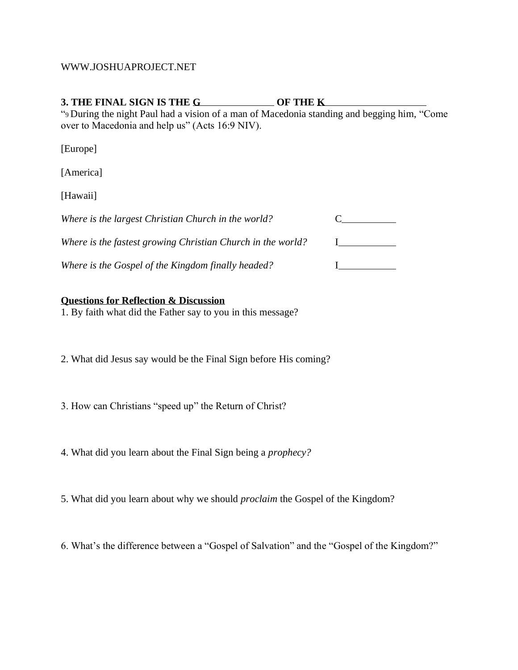#### WWW.JOSHUAPROJECT.NET

### **3. THE FINAL SIGN IS THE G OF THE K**

"<sup>9</sup> During the night Paul had a vision of a man of Macedonia standing and begging him, "Come over to Macedonia and help us" (Acts 16:9 NIV).

[Europe]

[America]

[Hawaii]

| Where is the largest Christian Church in the world?         |  |
|-------------------------------------------------------------|--|
| Where is the fastest growing Christian Church in the world? |  |
| Where is the Gospel of the Kingdom finally headed?          |  |

#### **Questions for Reflection & Discussion**

1. By faith what did the Father say to you in this message?

2. What did Jesus say would be the Final Sign before His coming?

3. How can Christians "speed up" the Return of Christ?

4. What did you learn about the Final Sign being a *prophecy?*

5. What did you learn about why we should *proclaim* the Gospel of the Kingdom?

6. What's the difference between a "Gospel of Salvation" and the "Gospel of the Kingdom?"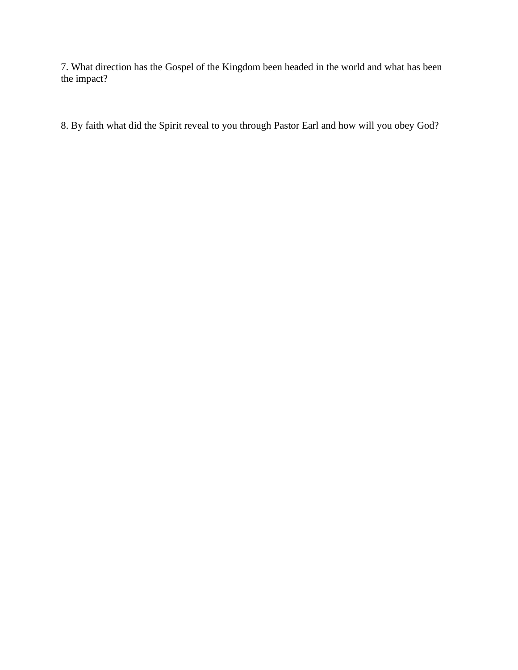7. What direction has the Gospel of the Kingdom been headed in the world and what has been the impact?

8. By faith what did the Spirit reveal to you through Pastor Earl and how will you obey God?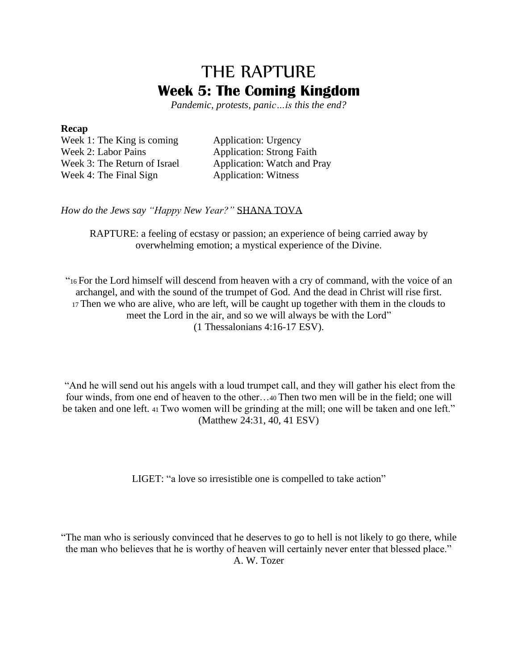## THE RAPTURE **Week 5: The Coming Kingdom**

*Pandemic, protests, panic…is this the end?*

#### **Recap**

Week 1: The King is coming Application: Urgency Week 2: Labor Pains Application: Strong Faith Week 3: The Return of Israel Application: Watch and Pray Week 4: The Final Sign Application: Witness

*How do the Jews say "Happy New Year?"* SHANA TOVA

RAPTURE: a feeling of ecstasy or passion; an experience of being carried away by overwhelming emotion; a mystical experience of the Divine.

"<sup>16</sup> For the Lord himself will descend from heaven with a cry of command, with the voice of an archangel, and with the sound of the trumpet of God. And the dead in Christ will rise first. <sup>17</sup> Then we who are alive, who are left, will be caught up together with them in the clouds to meet the Lord in the air, and so we will always be with the Lord" (1 Thessalonians 4:16-17 ESV).

"And he will send out his angels with a loud trumpet call, and they will gather his elect from the four winds, from one end of heaven to the other…<sup>40</sup> Then two men will be in the field; one will be taken and one left. 41 Two women will be grinding at the mill; one will be taken and one left." (Matthew 24:31, 40, 41 ESV)

LIGET: "a love so irresistible one is compelled to take action"

"The man who is seriously convinced that he deserves to go to hell is not likely to go there, while the man who believes that he is worthy of heaven will certainly never enter that blessed place." A. W. Tozer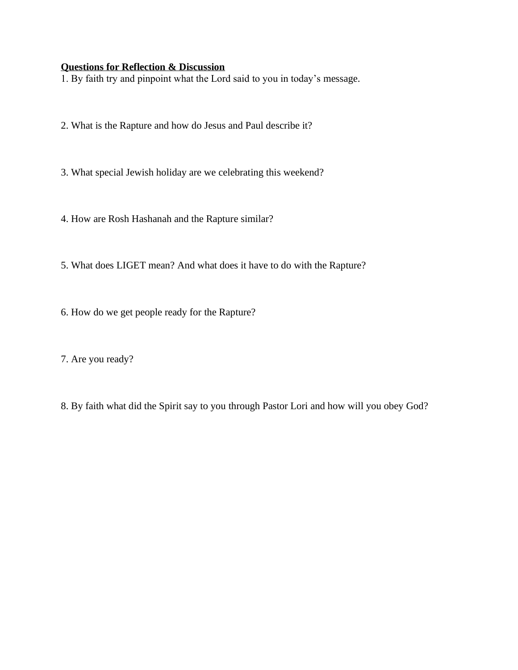## **Questions for Reflection & Discussion**

1. By faith try and pinpoint what the Lord said to you in today's message.

- 2. What is the Rapture and how do Jesus and Paul describe it?
- 3. What special Jewish holiday are we celebrating this weekend?
- 4. How are Rosh Hashanah and the Rapture similar?
- 5. What does LIGET mean? And what does it have to do with the Rapture?
- 6. How do we get people ready for the Rapture?
- 7. Are you ready?
- 8. By faith what did the Spirit say to you through Pastor Lori and how will you obey God?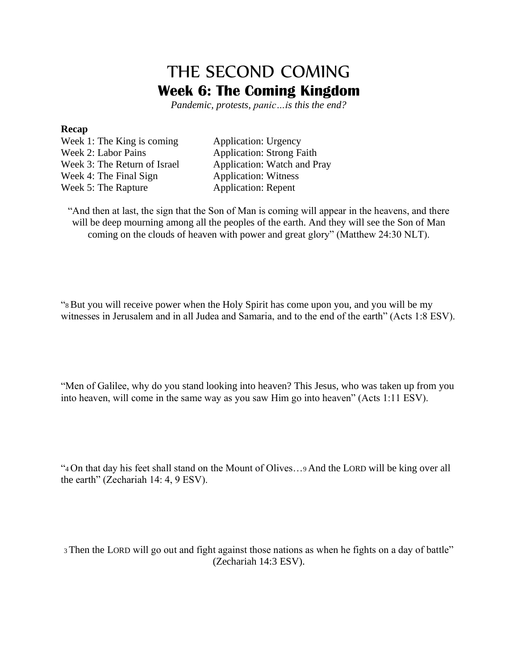## THE SECOND COMING **Week 6: The Coming Kingdom**

*Pandemic, protests, panic…is this the end?*

#### **Recap**

Week 1: The King is coming Application: Urgency Week 2: Labor Pains Application: Strong Faith Week 3: The Return of Israel Application: Watch and Pray Week 4: The Final Sign Application: Witness Week 5: The Rapture **Application:** Repent

"And then at last, the sign that the Son of Man is coming will appear in the heavens, and there will be deep mourning among all the peoples of the earth. And they will see the Son of Man coming on the clouds of heaven with power and great glory" (Matthew 24:30 NLT).

"8But you will receive power when the Holy Spirit has come upon you, and you will be my witnesses in Jerusalem and in all Judea and Samaria, and to the end of the earth" (Acts 1:8 ESV).

"Men of Galilee, why do you stand looking into heaven? This Jesus, who was taken up from you into heaven, will come in the same way as you saw Him go into heaven" (Acts 1:11 ESV).

"<sup>4</sup> On that day his feet shall stand on the Mount of Olives…<sup>9</sup> And the LORD will be king over all the earth" (Zechariah 14: 4, 9 ESV).

<sup>3</sup> Then the LORD will go out and fight against those nations as when he fights on a day of battle" (Zechariah 14:3 ESV).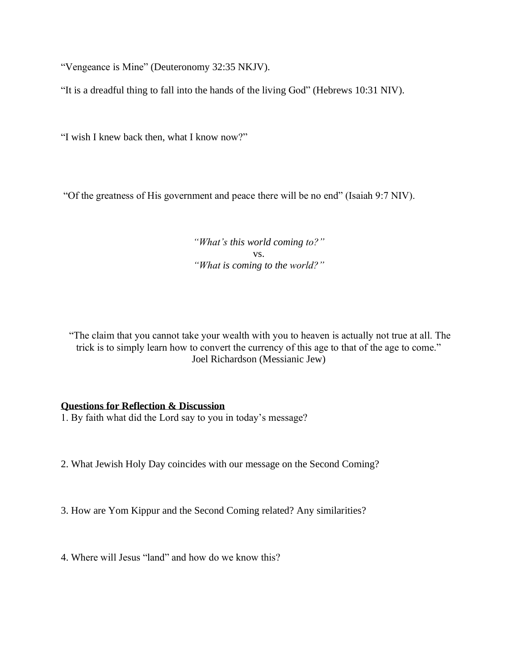"Vengeance is Mine" (Deuteronomy 32:35 NKJV).

"It is a dreadful thing to fall into the hands of the living God" (Hebrews 10:31 NIV).

"I wish I knew back then, what I know now?"

"Of the greatness of His government and peace there will be no end" (Isaiah 9:7 NIV).

*"What's this world coming to?"* vs. *"What is coming to the world?"*

"The claim that you cannot take your wealth with you to heaven is actually not true at all. The trick is to simply learn how to convert the currency of this age to that of the age to come." Joel Richardson (Messianic Jew)

#### **Questions for Reflection & Discussion**

1. By faith what did the Lord say to you in today's message?

2. What Jewish Holy Day coincides with our message on the Second Coming?

3. How are Yom Kippur and the Second Coming related? Any similarities?

4. Where will Jesus "land" and how do we know this?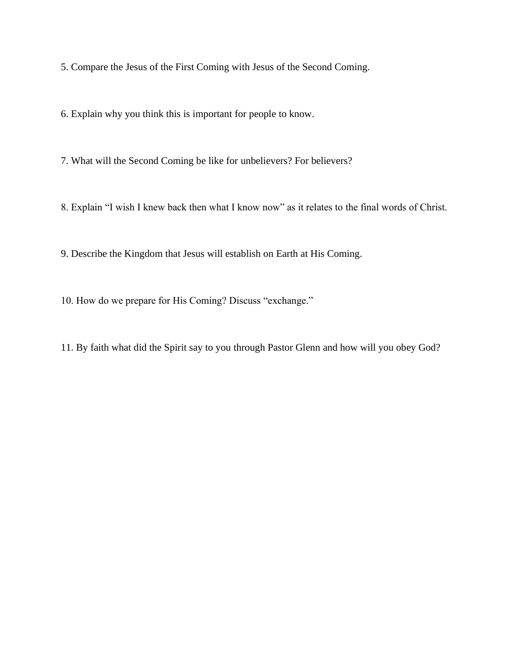5. Compare the Jesus of the First Coming with Jesus of the Second Coming.

6. Explain why you think this is important for people to know.

7. What will the Second Coming be like for unbelievers? For believers?

8. Explain "I wish I knew back then what I know now" as it relates to the final words of Christ.

9. Describe the Kingdom that Jesus will establish on Earth at His Coming.

10. How do we prepare for His Coming? Discuss "exchange."

11. By faith what did the Spirit say to you through Pastor Glenn and how will you obey God?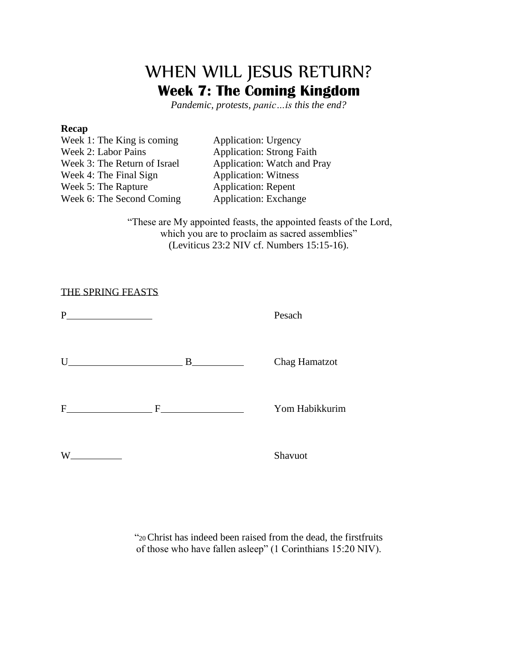## WHEN WILL JESUS RETURN? **Week 7: The Coming Kingdom**

*Pandemic, protests, panic…is this the end?*

#### **Recap**

| Week 1: The King is coming   |  |
|------------------------------|--|
| Week 2: Labor Pains          |  |
| Week 3: The Return of Israel |  |
| Week 4: The Final Sign       |  |
| Week 5: The Rapture          |  |
| Week 6: The Second Coming    |  |

Application: Urgency Application: Strong Faith Application: Watch and Pray Application: Witness Application: Repent Application: Exchange

"These are My appointed feasts, the appointed feasts of the Lord, which you are to proclaim as sacred assemblies" (Leviticus 23:2 NIV cf. Numbers 15:15-16).

#### THE SPRING FEASTS

| P<br><u> 1989 - Johann Barbara, martin a</u> |                                                                                                                                                                                                                                                                                                                                                                                                       | Pesach         |
|----------------------------------------------|-------------------------------------------------------------------------------------------------------------------------------------------------------------------------------------------------------------------------------------------------------------------------------------------------------------------------------------------------------------------------------------------------------|----------------|
| Ħ                                            | $\overline{\mathbf{B}}$ and $\overline{\mathbf{B}}$ and $\overline{\mathbf{B}}$ and $\overline{\mathbf{B}}$ and $\overline{\mathbf{B}}$ and $\overline{\mathbf{B}}$ and $\overline{\mathbf{B}}$ and $\overline{\mathbf{B}}$ and $\overline{\mathbf{B}}$ and $\overline{\mathbf{B}}$ and $\overline{\mathbf{B}}$ and $\overline{\mathbf{B}}$ and $\overline{\mathbf{B}}$ and $\overline{\mathbf{B}}$ a | Chag Hamatzot  |
| $\mathbf{F}$                                 |                                                                                                                                                                                                                                                                                                                                                                                                       | Yom Habikkurim |
| W<br><b>Contract Contract</b>                |                                                                                                                                                                                                                                                                                                                                                                                                       | Shavuot        |

"20Christ has indeed been raised from the dead, the firstfruits of those who have fallen asleep" (1 Corinthians 15:20 NIV).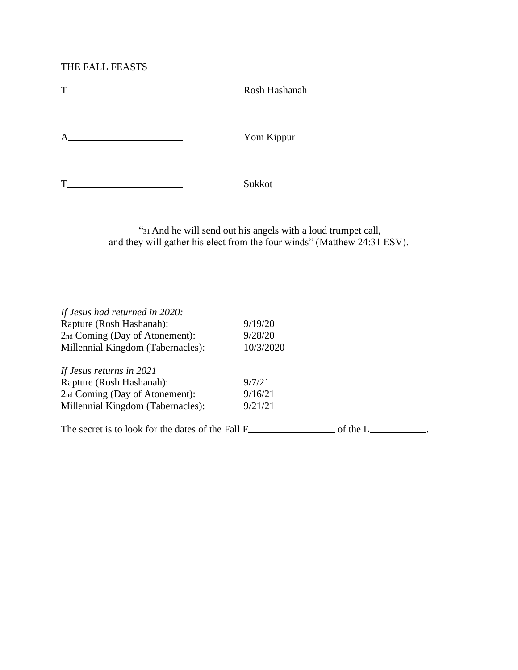THE FALL FEASTS

| T | Rosh Hashanah |  |
|---|---------------|--|
| A | Yom Kippur    |  |
| T | Sukkot        |  |

"<sup>31</sup> And he will send out his angels with a loud trumpet call, and they will gather his elect from the four winds" (Matthew 24:31 ESV).

| If Jesus had returned in 2020:                    |           |          |  |
|---------------------------------------------------|-----------|----------|--|
| Rapture (Rosh Hashanah):                          | 9/19/20   |          |  |
| 2nd Coming (Day of Atonement):                    | 9/28/20   |          |  |
| Millennial Kingdom (Tabernacles):                 | 10/3/2020 |          |  |
| If Jesus returns in 2021                          |           |          |  |
| Rapture (Rosh Hashanah):                          | 9/7/21    |          |  |
| 2nd Coming (Day of Atonement):                    | 9/16/21   |          |  |
| Millennial Kingdom (Tabernacles):                 | 9/21/21   |          |  |
| The secret is to look for the dates of the Fall F |           | of the L |  |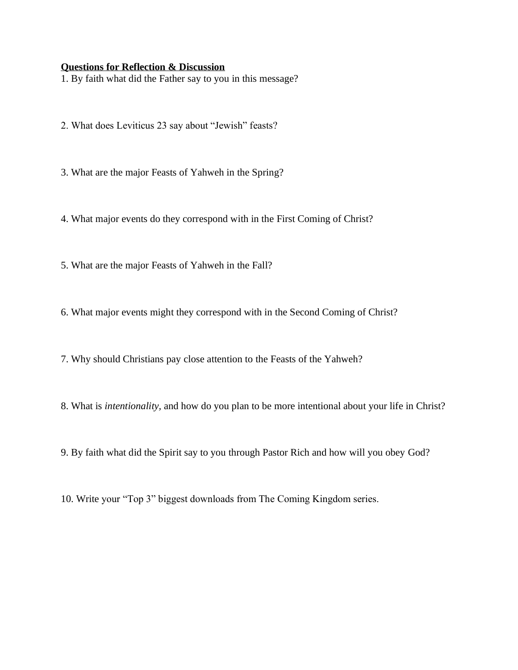#### **Questions for Reflection & Discussion**

1. By faith what did the Father say to you in this message?

- 2. What does Leviticus 23 say about "Jewish" feasts?
- 3. What are the major Feasts of Yahweh in the Spring?
- 4. What major events do they correspond with in the First Coming of Christ?
- 5. What are the major Feasts of Yahweh in the Fall?
- 6. What major events might they correspond with in the Second Coming of Christ?
- 7. Why should Christians pay close attention to the Feasts of the Yahweh?
- 8. What is *intentionality,* and how do you plan to be more intentional about your life in Christ?
- 9. By faith what did the Spirit say to you through Pastor Rich and how will you obey God?
- 10. Write your "Top 3" biggest downloads from The Coming Kingdom series.